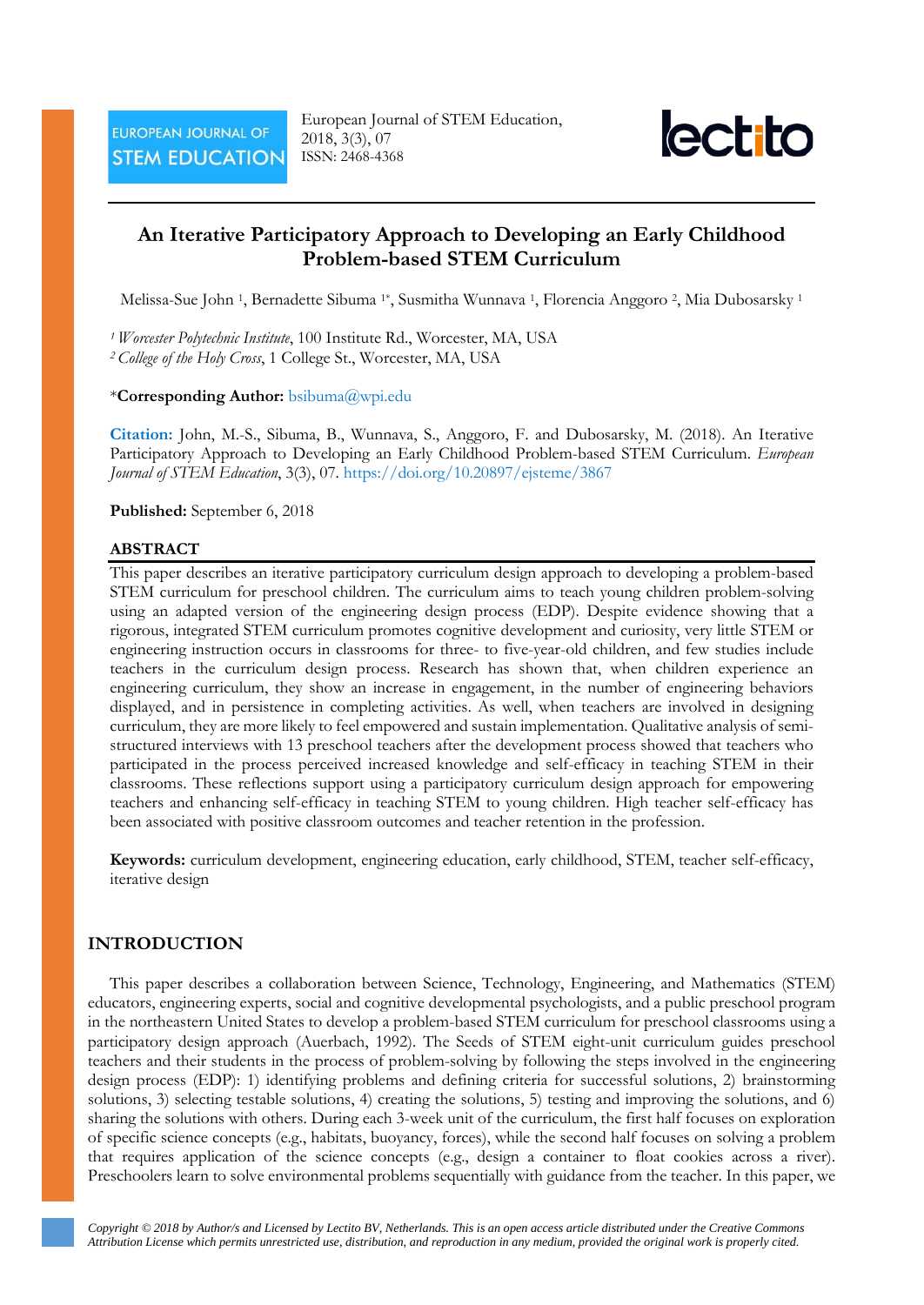

# **An Iterative Participatory Approach to Developing an Early Childhood Problem-based STEM Curriculum**

Melissa-Sue John 1, Bernadette Sibuma 1\*, Susmitha Wunnava 1, Florencia Anggoro 2, Mia Dubosarsky <sup>1</sup>

*1 Worcester Polytechnic Institute*, 100 Institute Rd., Worcester, MA, USA *<sup>2</sup> College of the Holy Cross*, 1 College St., Worcester, MA, USA

## \***Corresponding Author:** bsibuma@wpi.edu

**Citation:** John, M.-S., Sibuma, B., Wunnava, S., Anggoro, F. and Dubosarsky, M. (2018). An Iterative Participatory Approach to Developing an Early Childhood Problem-based STEM Curriculum. *European Journal of STEM Education*, 3(3), 07. <https://doi.org/10.20897/ejsteme/3867>

**Published:** September 6, 2018

# **ABSTRACT**

This paper describes an iterative participatory curriculum design approach to developing a problem-based STEM curriculum for preschool children. The curriculum aims to teach young children problem-solving using an adapted version of the engineering design process (EDP). Despite evidence showing that a rigorous, integrated STEM curriculum promotes cognitive development and curiosity, very little STEM or engineering instruction occurs in classrooms for three- to five-year-old children, and few studies include teachers in the curriculum design process. Research has shown that, when children experience an engineering curriculum, they show an increase in engagement, in the number of engineering behaviors displayed, and in persistence in completing activities. As well, when teachers are involved in designing curriculum, they are more likely to feel empowered and sustain implementation. Qualitative analysis of semistructured interviews with 13 preschool teachers after the development process showed that teachers who participated in the process perceived increased knowledge and self-efficacy in teaching STEM in their classrooms. These reflections support using a participatory curriculum design approach for empowering teachers and enhancing self-efficacy in teaching STEM to young children. High teacher self-efficacy has been associated with positive classroom outcomes and teacher retention in the profession.

**Keywords:** curriculum development, engineering education, early childhood, STEM, teacher self-efficacy, iterative design

# **INTRODUCTION**

This paper describes a collaboration between Science, Technology, Engineering, and Mathematics (STEM) educators, engineering experts, social and cognitive developmental psychologists, and a public preschool program in the northeastern United States to develop a problem-based STEM curriculum for preschool classrooms using a participatory design approach (Auerbach, 1992). The Seeds of STEM eight-unit curriculum guides preschool teachers and their students in the process of problem-solving by following the steps involved in the engineering design process (EDP): 1) identifying problems and defining criteria for successful solutions, 2) brainstorming solutions, 3) selecting testable solutions, 4) creating the solutions, 5) testing and improving the solutions, and 6) sharing the solutions with others. During each 3-week unit of the curriculum, the first half focuses on exploration of specific science concepts (e.g., habitats, buoyancy, forces), while the second half focuses on solving a problem that requires application of the science concepts (e.g., design a container to float cookies across a river). Preschoolers learn to solve environmental problems sequentially with guidance from the teacher. In this paper, we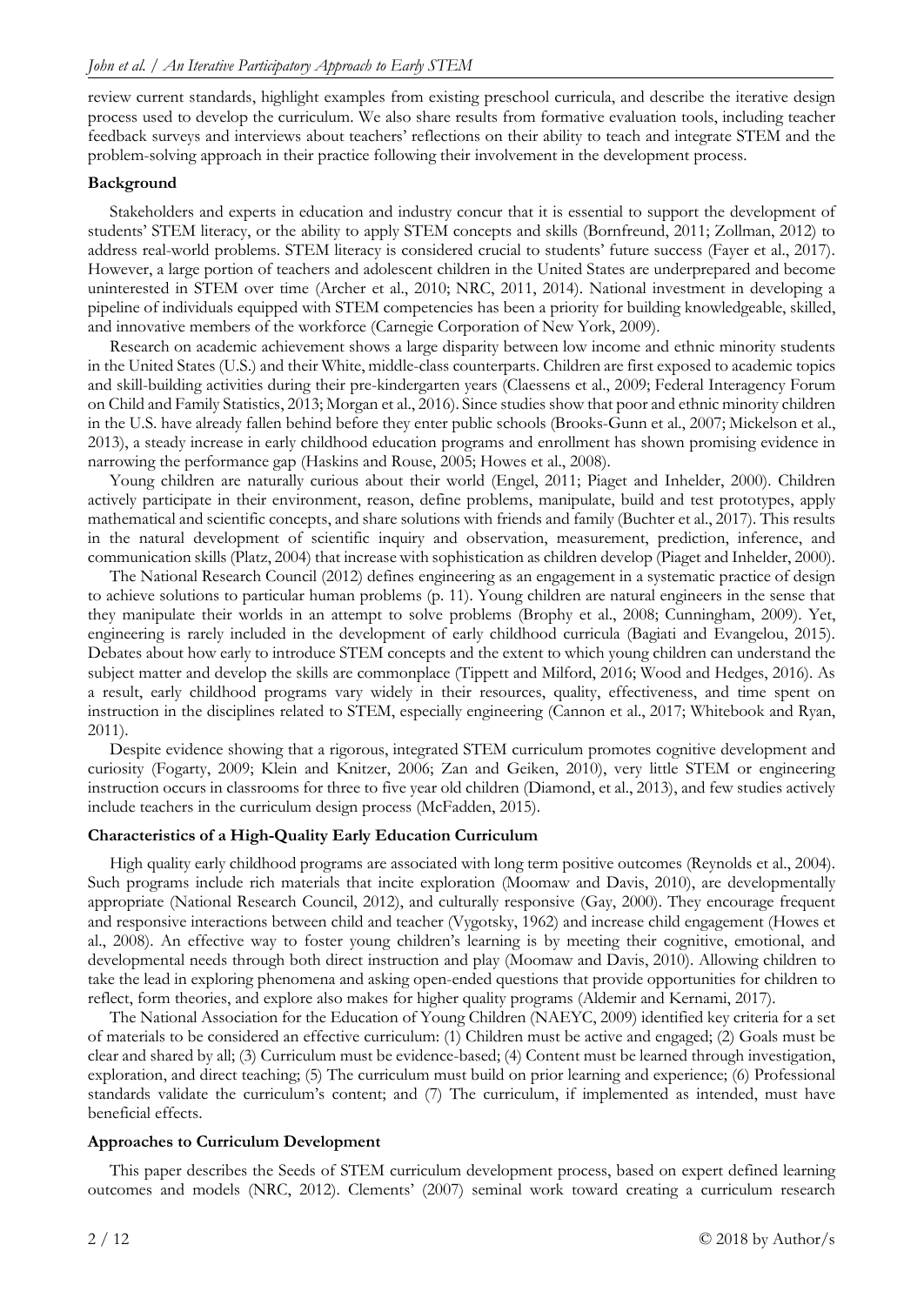review current standards, highlight examples from existing preschool curricula, and describe the iterative design process used to develop the curriculum. We also share results from formative evaluation tools, including teacher feedback surveys and interviews about teachers' reflections on their ability to teach and integrate STEM and the problem-solving approach in their practice following their involvement in the development process.

## **Background**

Stakeholders and experts in education and industry concur that it is essential to support the development of students' STEM literacy, or the ability to apply STEM concepts and skills (Bornfreund, 2011; Zollman, 2012) to address real-world problems. STEM literacy is considered crucial to students' future success (Fayer et al., 2017). However, a large portion of teachers and adolescent children in the United States are underprepared and become uninterested in STEM over time (Archer et al., 2010; NRC, 2011, 2014). National investment in developing a pipeline of individuals equipped with STEM competencies has been a priority for building knowledgeable, skilled, and innovative members of the workforce (Carnegie Corporation of New York, 2009).

Research on academic achievement shows a large disparity between low income and ethnic minority students in the United States (U.S.) and their White, middle-class counterparts. Children are first exposed to academic topics and skill-building activities during their pre-kindergarten years (Claessens et al., 2009; Federal Interagency Forum on Child and Family Statistics, 2013; Morgan et al., 2016). Since studies show that poor and ethnic minority children in the U.S. have already fallen behind before they enter public schools (Brooks-Gunn et al., 2007; Mickelson et al., 2013), a steady increase in early childhood education programs and enrollment has shown promising evidence in narrowing the performance gap (Haskins and Rouse, 2005; Howes et al., 2008).

Young children are naturally curious about their world (Engel, 2011; Piaget and Inhelder, 2000). Children actively participate in their environment, reason, define problems, manipulate, build and test prototypes, apply mathematical and scientific concepts, and share solutions with friends and family (Buchter et al., 2017). This results in the natural development of scientific inquiry and observation, measurement, prediction, inference, and communication skills (Platz, 2004) that increase with sophistication as children develop (Piaget and Inhelder, 2000).

The National Research Council (2012) defines engineering as an engagement in a systematic practice of design to achieve solutions to particular human problems (p. 11). Young children are natural engineers in the sense that they manipulate their worlds in an attempt to solve problems (Brophy et al., 2008; Cunningham, 2009). Yet, engineering is rarely included in the development of early childhood curricula (Bagiati and Evangelou, 2015). Debates about how early to introduce STEM concepts and the extent to which young children can understand the subject matter and develop the skills are commonplace (Tippett and Milford, 2016; Wood and Hedges, 2016). As a result, early childhood programs vary widely in their resources, quality, effectiveness, and time spent on instruction in the disciplines related to STEM, especially engineering (Cannon et al., 2017; Whitebook and Ryan, 2011).

Despite evidence showing that a rigorous, integrated STEM curriculum promotes cognitive development and curiosity (Fogarty, 2009; Klein and Knitzer, 2006; Zan and Geiken, 2010), very little STEM or engineering instruction occurs in classrooms for three to five year old children (Diamond, et al., 2013), and few studies actively include teachers in the curriculum design process (McFadden, 2015).

# **Characteristics of a High-Quality Early Education Curriculum**

High quality early childhood programs are associated with long term positive outcomes (Reynolds et al., 2004). Such programs include rich materials that incite exploration (Moomaw and Davis, 2010), are developmentally appropriate (National Research Council, 2012), and culturally responsive (Gay, 2000). They encourage frequent and responsive interactions between child and teacher (Vygotsky, 1962) and increase child engagement (Howes et al., 2008). An effective way to foster young children's learning is by meeting their cognitive, emotional, and developmental needs through both direct instruction and play (Moomaw and Davis, 2010). Allowing children to take the lead in exploring phenomena and asking open-ended questions that provide opportunities for children to reflect, form theories, and explore also makes for higher quality programs (Aldemir and Kernami, 2017).

The National Association for the Education of Young Children (NAEYC, 2009) identified key criteria for a set of materials to be considered an effective curriculum: (1) Children must be active and engaged; (2) Goals must be clear and shared by all; (3) Curriculum must be evidence-based; (4) Content must be learned through investigation, exploration, and direct teaching; (5) The curriculum must build on prior learning and experience; (6) Professional standards validate the curriculum's content; and (7) The curriculum, if implemented as intended, must have beneficial effects.

### **Approaches to Curriculum Development**

This paper describes the Seeds of STEM curriculum development process, based on expert defined learning outcomes and models (NRC, 2012). Clements' (2007) seminal work toward creating a curriculum research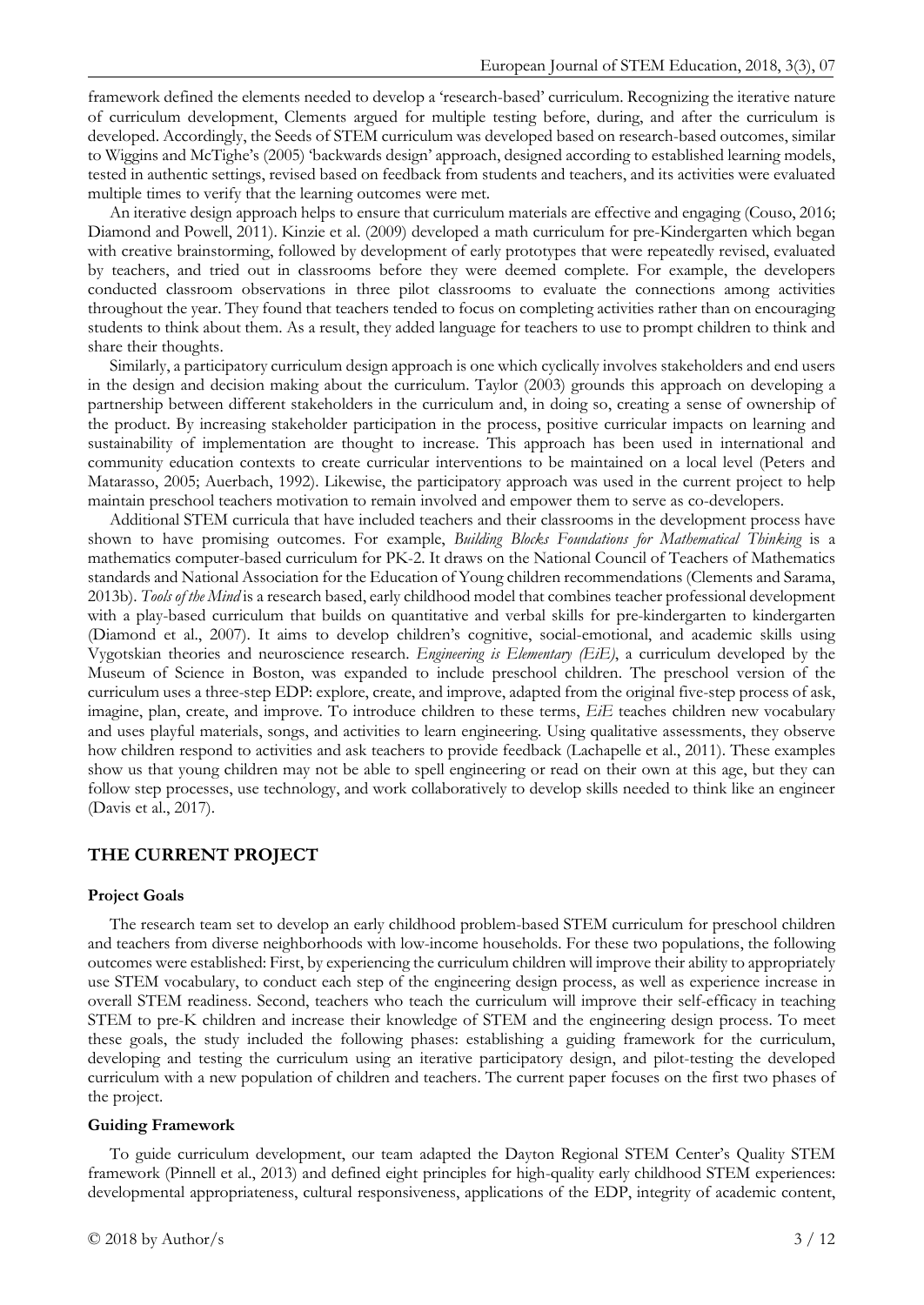framework defined the elements needed to develop a 'research-based' curriculum. Recognizing the iterative nature of curriculum development, Clements argued for multiple testing before, during, and after the curriculum is developed. Accordingly, the Seeds of STEM curriculum was developed based on research-based outcomes, similar to Wiggins and McTighe's (2005) 'backwards design' approach, designed according to established learning models, tested in authentic settings, revised based on feedback from students and teachers, and its activities were evaluated multiple times to verify that the learning outcomes were met.

An iterative design approach helps to ensure that curriculum materials are effective and engaging (Couso, 2016; Diamond and Powell, 2011). Kinzie et al. (2009) developed a math curriculum for pre-Kindergarten which began with creative brainstorming, followed by development of early prototypes that were repeatedly revised, evaluated by teachers, and tried out in classrooms before they were deemed complete. For example, the developers conducted classroom observations in three pilot classrooms to evaluate the connections among activities throughout the year. They found that teachers tended to focus on completing activities rather than on encouraging students to think about them. As a result, they added language for teachers to use to prompt children to think and share their thoughts.

Similarly, a participatory curriculum design approach is one which cyclically involves stakeholders and end users in the design and decision making about the curriculum. Taylor (2003) grounds this approach on developing a partnership between different stakeholders in the curriculum and, in doing so, creating a sense of ownership of the product. By increasing stakeholder participation in the process, positive curricular impacts on learning and sustainability of implementation are thought to increase. This approach has been used in international and community education contexts to create curricular interventions to be maintained on a local level (Peters and Matarasso, 2005; Auerbach, 1992). Likewise, the participatory approach was used in the current project to help maintain preschool teachers motivation to remain involved and empower them to serve as co-developers.

Additional STEM curricula that have included teachers and their classrooms in the development process have shown to have promising outcomes. For example, *Building Blocks Foundations for Mathematical Thinking* is a mathematics computer-based curriculum for PK-2. It draws on the National Council of Teachers of Mathematics standards and National Association for the Education of Young children recommendations (Clements and Sarama, 2013b). *Tools of the Mind* is a research based, early childhood model that combines teacher professional development with a play-based curriculum that builds on quantitative and verbal skills for pre-kindergarten to kindergarten (Diamond et al., 2007). It aims to develop children's cognitive, social-emotional, and academic skills using Vygotskian theories and neuroscience research. *Engineering is Elementary (EiE)*, a curriculum developed by the Museum of Science in Boston, was expanded to include preschool children. The preschool version of the curriculum uses a three-step EDP: explore, create, and improve, adapted from the original five-step process of ask, imagine, plan, create, and improve. To introduce children to these terms, *EiE* teaches children new vocabulary and uses playful materials, songs, and activities to learn engineering. Using qualitative assessments, they observe how children respond to activities and ask teachers to provide feedback (Lachapelle et al., 2011). These examples show us that young children may not be able to spell engineering or read on their own at this age, but they can follow step processes, use technology, and work collaboratively to develop skills needed to think like an engineer (Davis et al., 2017).

### **THE CURRENT PROJECT**

#### **Project Goals**

The research team set to develop an early childhood problem-based STEM curriculum for preschool children and teachers from diverse neighborhoods with low-income households. For these two populations, the following outcomes were established: First, by experiencing the curriculum children will improve their ability to appropriately use STEM vocabulary, to conduct each step of the engineering design process, as well as experience increase in overall STEM readiness. Second, teachers who teach the curriculum will improve their self-efficacy in teaching STEM to pre-K children and increase their knowledge of STEM and the engineering design process. To meet these goals, the study included the following phases: establishing a guiding framework for the curriculum, developing and testing the curriculum using an iterative participatory design, and pilot-testing the developed curriculum with a new population of children and teachers. The current paper focuses on the first two phases of the project.

#### **Guiding Framework**

To guide curriculum development, our team adapted the Dayton Regional STEM Center's Quality STEM framework (Pinnell et al., 2013) and defined eight principles for high-quality early childhood STEM experiences: developmental appropriateness, cultural responsiveness, applications of the EDP, integrity of academic content,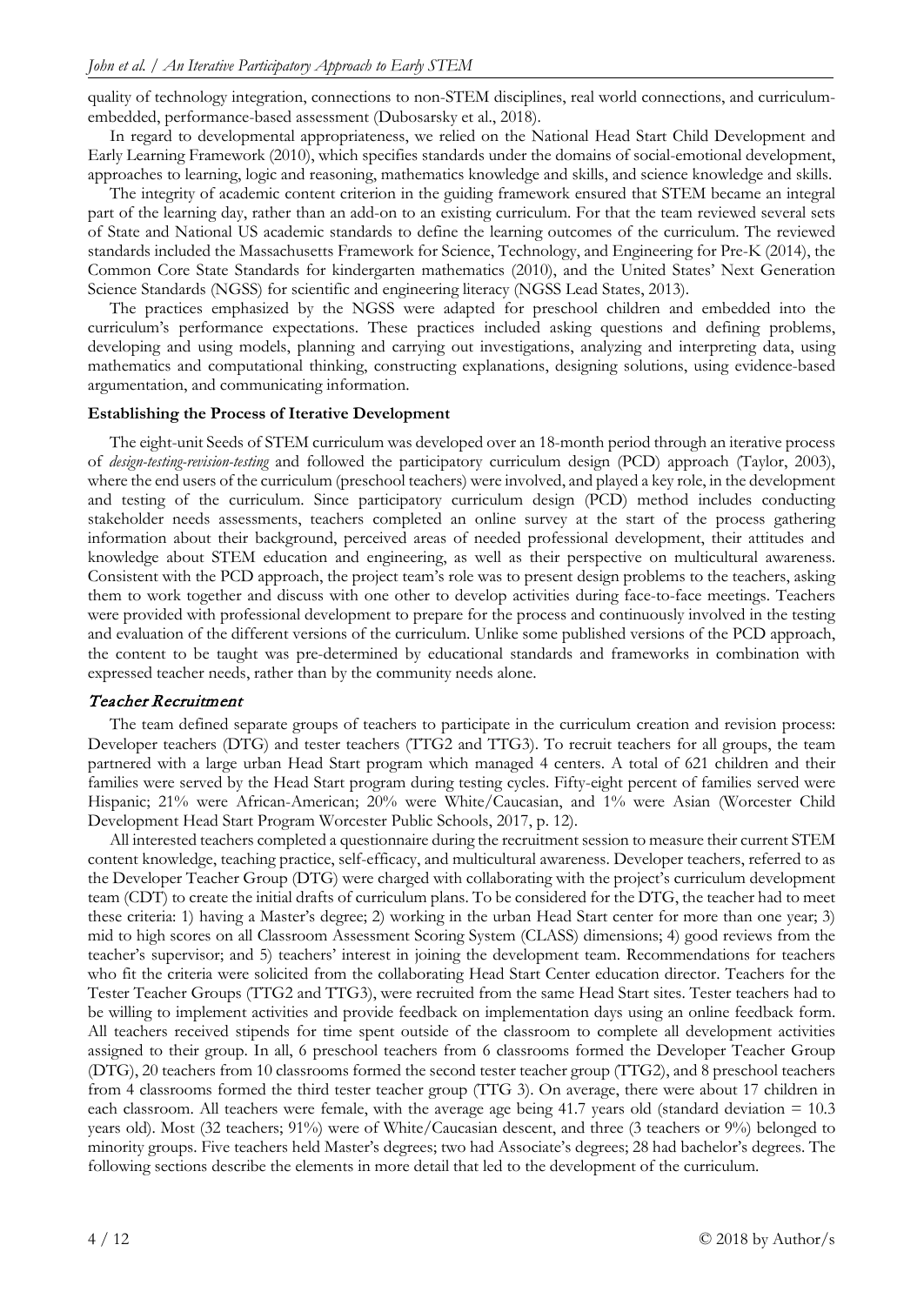quality of technology integration, connections to non-STEM disciplines, real world connections, and curriculumembedded, performance-based assessment (Dubosarsky et al., 2018).

In regard to developmental appropriateness, we relied on the National Head Start Child Development and Early Learning Framework (2010), which specifies standards under the domains of social-emotional development, approaches to learning, logic and reasoning, mathematics knowledge and skills, and science knowledge and skills.

The integrity of academic content criterion in the guiding framework ensured that STEM became an integral part of the learning day, rather than an add-on to an existing curriculum. For that the team reviewed several sets of State and National US academic standards to define the learning outcomes of the curriculum. The reviewed standards included the Massachusetts Framework for Science, Technology, and Engineering for Pre-K (2014), the Common Core State Standards for kindergarten mathematics (2010), and the United States' Next Generation Science Standards (NGSS) for scientific and engineering literacy (NGSS Lead States, 2013).

The practices emphasized by the NGSS were adapted for preschool children and embedded into the curriculum's performance expectations. These practices included asking questions and defining problems, developing and using models, planning and carrying out investigations, analyzing and interpreting data, using mathematics and computational thinking, constructing explanations, designing solutions, using evidence-based argumentation, and communicating information.

## **Establishing the Process of Iterative Development**

The eight-unit Seeds of STEM curriculum was developed over an 18-month period through an iterative process of *design-testing-revision-testing* and followed the participatory curriculum design (PCD) approach (Taylor, 2003), where the end users of the curriculum (preschool teachers) were involved, and played a key role, in the development and testing of the curriculum. Since participatory curriculum design (PCD) method includes conducting stakeholder needs assessments, teachers completed an online survey at the start of the process gathering information about their background, perceived areas of needed professional development, their attitudes and knowledge about STEM education and engineering, as well as their perspective on multicultural awareness. Consistent with the PCD approach, the project team's role was to present design problems to the teachers, asking them to work together and discuss with one other to develop activities during face-to-face meetings. Teachers were provided with professional development to prepare for the process and continuously involved in the testing and evaluation of the different versions of the curriculum. Unlike some published versions of the PCD approach, the content to be taught was pre-determined by educational standards and frameworks in combination with expressed teacher needs, rather than by the community needs alone.

# Teacher Recruitment

The team defined separate groups of teachers to participate in the curriculum creation and revision process: Developer teachers (DTG) and tester teachers (TTG2 and TTG3). To recruit teachers for all groups, the team partnered with a large urban Head Start program which managed 4 centers. A total of 621 children and their families were served by the Head Start program during testing cycles. Fifty-eight percent of families served were Hispanic; 21% were African-American; 20% were White/Caucasian, and 1% were Asian (Worcester Child Development Head Start Program Worcester Public Schools, 2017, p. 12).

All interested teachers completed a questionnaire during the recruitment session to measure their current STEM content knowledge, teaching practice, self-efficacy, and multicultural awareness. Developer teachers, referred to as the Developer Teacher Group (DTG) were charged with collaborating with the project's curriculum development team (CDT) to create the initial drafts of curriculum plans. To be considered for the DTG, the teacher had to meet these criteria: 1) having a Master's degree; 2) working in the urban Head Start center for more than one year; 3) mid to high scores on all Classroom Assessment Scoring System (CLASS) dimensions; 4) good reviews from the teacher's supervisor; and 5) teachers' interest in joining the development team. Recommendations for teachers who fit the criteria were solicited from the collaborating Head Start Center education director. Teachers for the Tester Teacher Groups (TTG2 and TTG3), were recruited from the same Head Start sites. Tester teachers had to be willing to implement activities and provide feedback on implementation days using an online feedback form. All teachers received stipends for time spent outside of the classroom to complete all development activities assigned to their group. In all, 6 preschool teachers from 6 classrooms formed the Developer Teacher Group (DTG), 20 teachers from 10 classrooms formed the second tester teacher group (TTG2), and 8 preschool teachers from 4 classrooms formed the third tester teacher group (TTG 3). On average, there were about 17 children in each classroom. All teachers were female, with the average age being 41.7 years old (standard deviation = 10.3 years old). Most (32 teachers; 91%) were of White/Caucasian descent, and three (3 teachers or 9%) belonged to minority groups. Five teachers held Master's degrees; two had Associate's degrees; 28 had bachelor's degrees. The following sections describe the elements in more detail that led to the development of the curriculum.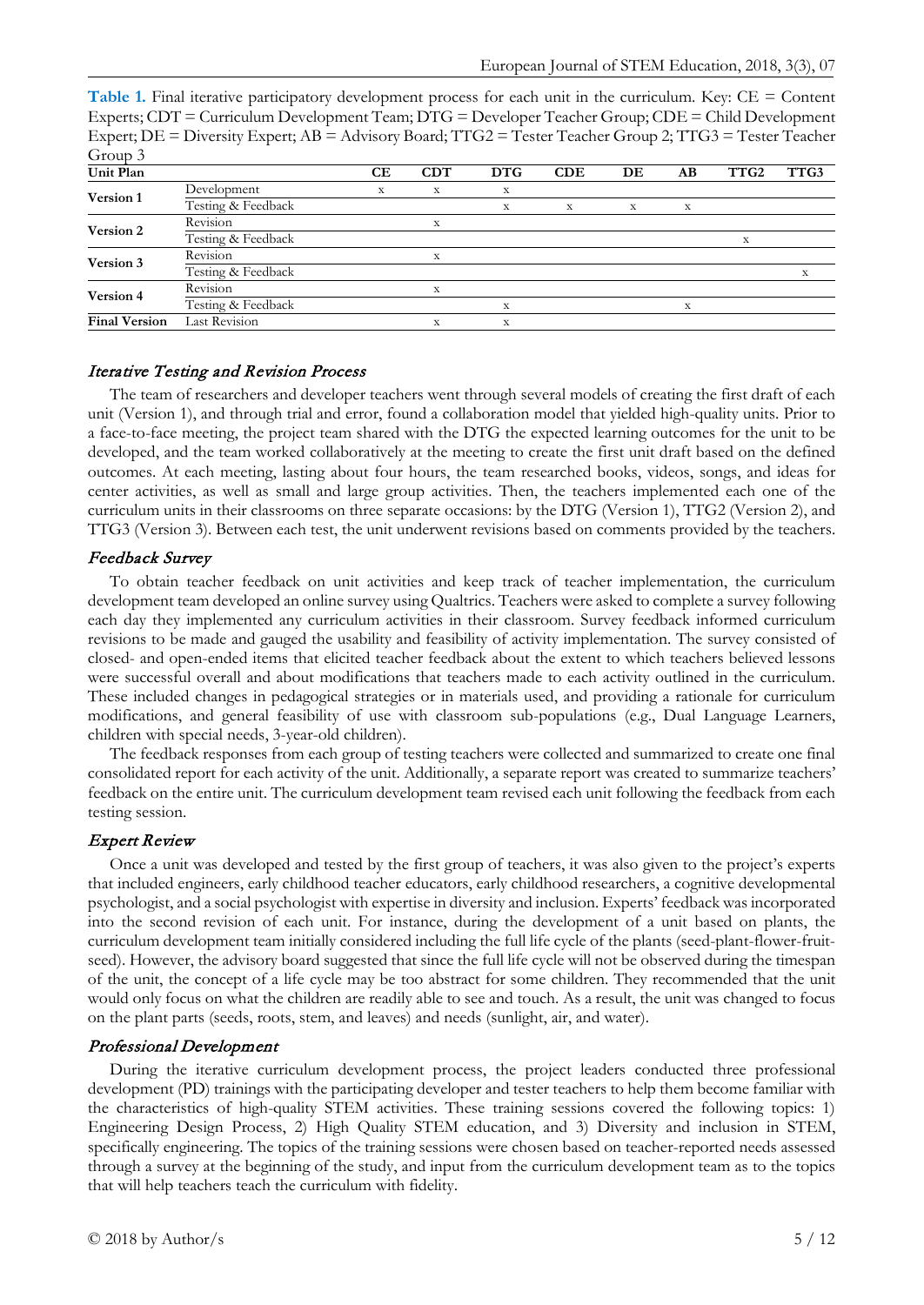**Table 1.** Final iterative participatory development process for each unit in the curriculum. Key: CE = Content Experts; CDT = Curriculum Development Team; DTG = Developer Teacher Group; CDE = Child Development Expert; DE = Diversity Expert; AB = Advisory Board; TTG2 = Tester Teacher Group 2; TTG3 = Tester Teacher Group 3

| Unit Plan            |                    | CЕ | CDT | <b>DTG</b> | CDE | DE | AВ | TTG <sub>2</sub> | TTG3 |
|----------------------|--------------------|----|-----|------------|-----|----|----|------------------|------|
| Version 1            | Development        | X  | X   | X          |     |    |    |                  |      |
|                      | Testing & Feedback |    |     | X          | X   | X  | х  |                  |      |
| Version 2            | Revision           |    | X   |            |     |    |    |                  |      |
|                      | Testing & Feedback |    |     |            |     |    |    | X                |      |
| Version 3            | Revision           |    |     |            |     |    |    |                  |      |
|                      | Testing & Feedback |    |     |            |     |    |    |                  |      |
| Version 4            | Revision           |    | x   |            |     |    |    |                  |      |
|                      | Testing & Feedback |    |     | X          |     |    | X  |                  |      |
| <b>Final Version</b> | Last Revision      |    |     |            |     |    |    |                  |      |

## Iterative Testing and Revision Process

The team of researchers and developer teachers went through several models of creating the first draft of each unit (Version 1), and through trial and error, found a collaboration model that yielded high-quality units. Prior to a face-to-face meeting, the project team shared with the DTG the expected learning outcomes for the unit to be developed, and the team worked collaboratively at the meeting to create the first unit draft based on the defined outcomes. At each meeting, lasting about four hours, the team researched books, videos, songs, and ideas for center activities, as well as small and large group activities. Then, the teachers implemented each one of the curriculum units in their classrooms on three separate occasions: by the DTG (Version 1), TTG2 (Version 2), and TTG3 (Version 3). Between each test, the unit underwent revisions based on comments provided by the teachers.

# Feedback Survey

To obtain teacher feedback on unit activities and keep track of teacher implementation, the curriculum development team developed an online survey using Qualtrics. Teachers were asked to complete a survey following each day they implemented any curriculum activities in their classroom. Survey feedback informed curriculum revisions to be made and gauged the usability and feasibility of activity implementation. The survey consisted of closed- and open-ended items that elicited teacher feedback about the extent to which teachers believed lessons were successful overall and about modifications that teachers made to each activity outlined in the curriculum. These included changes in pedagogical strategies or in materials used, and providing a rationale for curriculum modifications, and general feasibility of use with classroom sub-populations (e.g., Dual Language Learners, children with special needs, 3-year-old children).

The feedback responses from each group of testing teachers were collected and summarized to create one final consolidated report for each activity of the unit. Additionally, a separate report was created to summarize teachers' feedback on the entire unit. The curriculum development team revised each unit following the feedback from each testing session.

### Expert Review

Once a unit was developed and tested by the first group of teachers, it was also given to the project's experts that included engineers, early childhood teacher educators, early childhood researchers, a cognitive developmental psychologist, and a social psychologist with expertise in diversity and inclusion. Experts' feedback was incorporated into the second revision of each unit. For instance, during the development of a unit based on plants, the curriculum development team initially considered including the full life cycle of the plants (seed-plant-flower-fruitseed). However, the advisory board suggested that since the full life cycle will not be observed during the timespan of the unit, the concept of a life cycle may be too abstract for some children. They recommended that the unit would only focus on what the children are readily able to see and touch. As a result, the unit was changed to focus on the plant parts (seeds, roots, stem, and leaves) and needs (sunlight, air, and water).

# Professional Development

During the iterative curriculum development process, the project leaders conducted three professional development (PD) trainings with the participating developer and tester teachers to help them become familiar with the characteristics of high-quality STEM activities. These training sessions covered the following topics: 1) Engineering Design Process, 2) High Quality STEM education, and 3) Diversity and inclusion in STEM, specifically engineering. The topics of the training sessions were chosen based on teacher-reported needs assessed through a survey at the beginning of the study, and input from the curriculum development team as to the topics that will help teachers teach the curriculum with fidelity.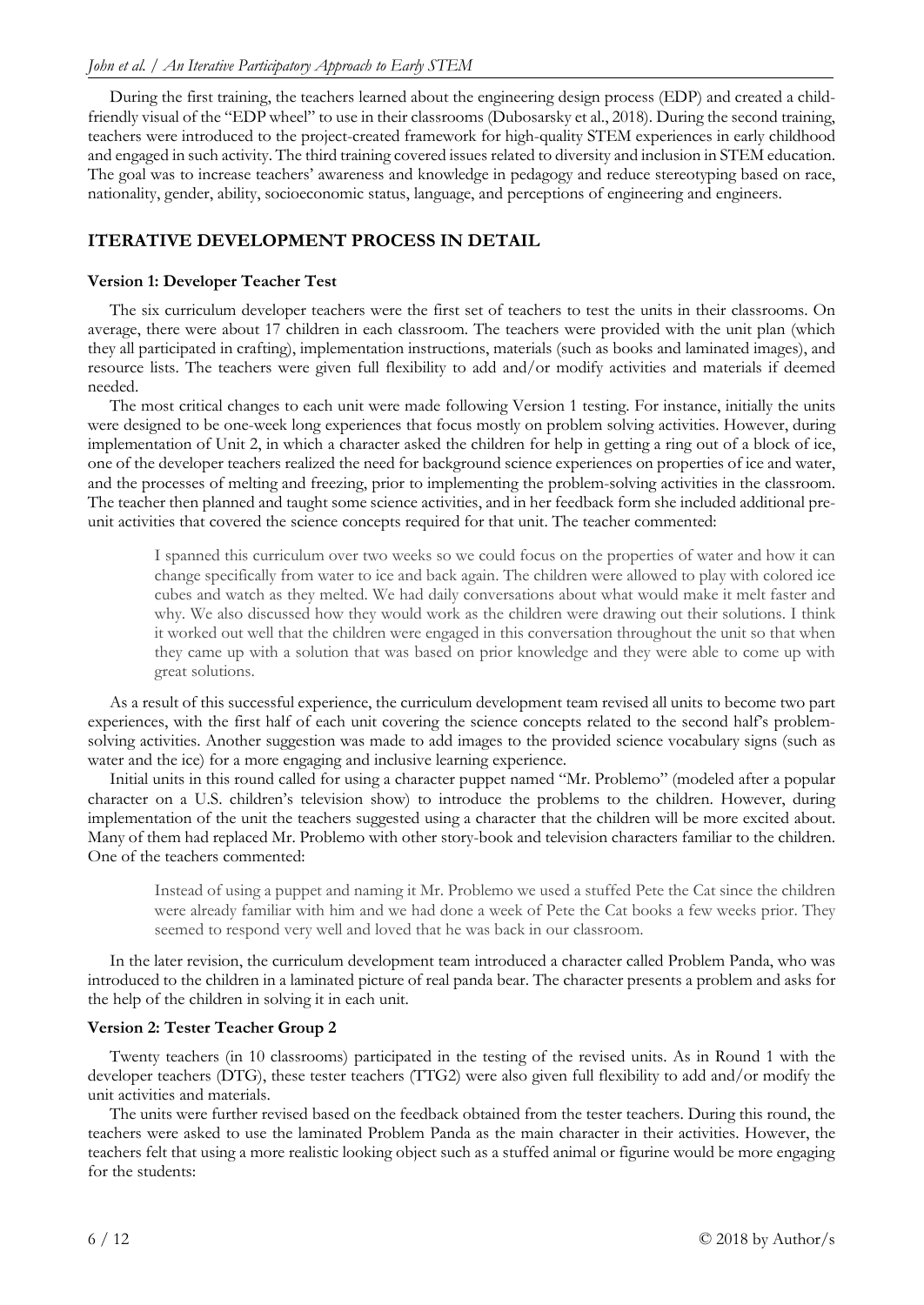During the first training, the teachers learned about the engineering design process (EDP) and created a childfriendly visual of the "EDP wheel" to use in their classrooms (Dubosarsky et al., 2018). During the second training, teachers were introduced to the project-created framework for high-quality STEM experiences in early childhood and engaged in such activity. The third training covered issues related to diversity and inclusion in STEM education. The goal was to increase teachers' awareness and knowledge in pedagogy and reduce stereotyping based on race, nationality, gender, ability, socioeconomic status, language, and perceptions of engineering and engineers.

# **ITERATIVE DEVELOPMENT PROCESS IN DETAIL**

# **Version 1: Developer Teacher Test**

The six curriculum developer teachers were the first set of teachers to test the units in their classrooms. On average, there were about 17 children in each classroom. The teachers were provided with the unit plan (which they all participated in crafting), implementation instructions, materials (such as books and laminated images), and resource lists. The teachers were given full flexibility to add and/or modify activities and materials if deemed needed.

The most critical changes to each unit were made following Version 1 testing. For instance, initially the units were designed to be one-week long experiences that focus mostly on problem solving activities. However, during implementation of Unit 2, in which a character asked the children for help in getting a ring out of a block of ice, one of the developer teachers realized the need for background science experiences on properties of ice and water, and the processes of melting and freezing, prior to implementing the problem-solving activities in the classroom. The teacher then planned and taught some science activities, and in her feedback form she included additional preunit activities that covered the science concepts required for that unit. The teacher commented:

I spanned this curriculum over two weeks so we could focus on the properties of water and how it can change specifically from water to ice and back again. The children were allowed to play with colored ice cubes and watch as they melted. We had daily conversations about what would make it melt faster and why. We also discussed how they would work as the children were drawing out their solutions. I think it worked out well that the children were engaged in this conversation throughout the unit so that when they came up with a solution that was based on prior knowledge and they were able to come up with great solutions.

As a result of this successful experience, the curriculum development team revised all units to become two part experiences, with the first half of each unit covering the science concepts related to the second half's problemsolving activities. Another suggestion was made to add images to the provided science vocabulary signs (such as water and the ice) for a more engaging and inclusive learning experience.

Initial units in this round called for using a character puppet named "Mr. Problemo" (modeled after a popular character on a U.S. children's television show) to introduce the problems to the children. However, during implementation of the unit the teachers suggested using a character that the children will be more excited about. Many of them had replaced Mr. Problemo with other story-book and television characters familiar to the children. One of the teachers commented:

Instead of using a puppet and naming it Mr. Problemo we used a stuffed Pete the Cat since the children were already familiar with him and we had done a week of Pete the Cat books a few weeks prior. They seemed to respond very well and loved that he was back in our classroom.

In the later revision, the curriculum development team introduced a character called Problem Panda, who was introduced to the children in a laminated picture of real panda bear. The character presents a problem and asks for the help of the children in solving it in each unit.

# **Version 2: Tester Teacher Group 2**

Twenty teachers (in 10 classrooms) participated in the testing of the revised units. As in Round 1 with the developer teachers (DTG), these tester teachers (TTG2) were also given full flexibility to add and/or modify the unit activities and materials.

The units were further revised based on the feedback obtained from the tester teachers. During this round, the teachers were asked to use the laminated Problem Panda as the main character in their activities. However, the teachers felt that using a more realistic looking object such as a stuffed animal or figurine would be more engaging for the students: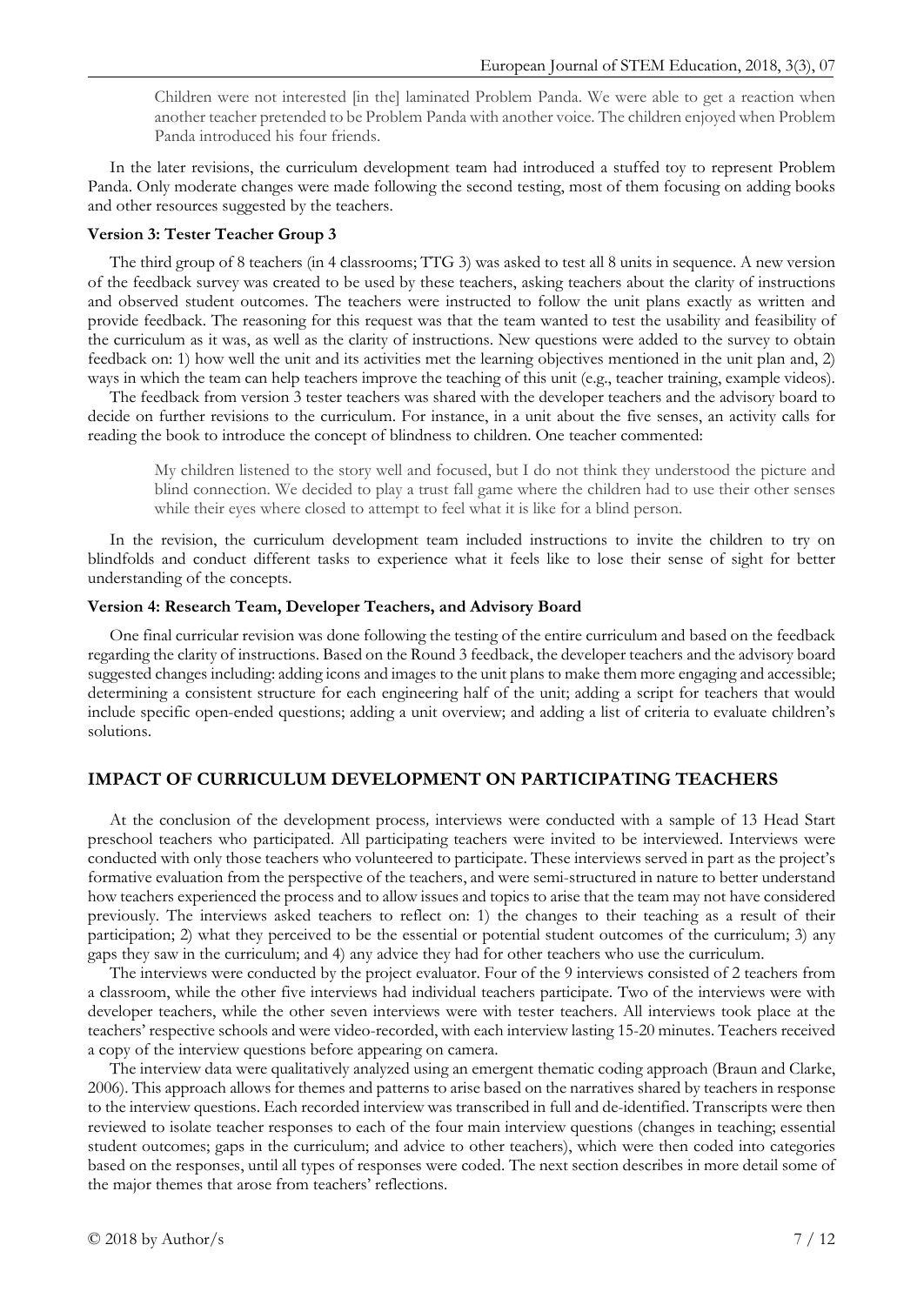Children were not interested [in the] laminated Problem Panda. We were able to get a reaction when another teacher pretended to be Problem Panda with another voice. The children enjoyed when Problem Panda introduced his four friends.

In the later revisions, the curriculum development team had introduced a stuffed toy to represent Problem Panda. Only moderate changes were made following the second testing, most of them focusing on adding books and other resources suggested by the teachers.

### **Version 3: Tester Teacher Group 3**

The third group of 8 teachers (in 4 classrooms; TTG 3) was asked to test all 8 units in sequence. A new version of the feedback survey was created to be used by these teachers, asking teachers about the clarity of instructions and observed student outcomes. The teachers were instructed to follow the unit plans exactly as written and provide feedback. The reasoning for this request was that the team wanted to test the usability and feasibility of the curriculum as it was, as well as the clarity of instructions. New questions were added to the survey to obtain feedback on: 1) how well the unit and its activities met the learning objectives mentioned in the unit plan and, 2) ways in which the team can help teachers improve the teaching of this unit (e.g., teacher training, example videos).

The feedback from version 3 tester teachers was shared with the developer teachers and the advisory board to decide on further revisions to the curriculum. For instance, in a unit about the five senses, an activity calls for reading the book to introduce the concept of blindness to children. One teacher commented:

My children listened to the story well and focused, but I do not think they understood the picture and blind connection. We decided to play a trust fall game where the children had to use their other senses while their eyes where closed to attempt to feel what it is like for a blind person.

In the revision, the curriculum development team included instructions to invite the children to try on blindfolds and conduct different tasks to experience what it feels like to lose their sense of sight for better understanding of the concepts.

#### **Version 4: Research Team, Developer Teachers, and Advisory Board**

One final curricular revision was done following the testing of the entire curriculum and based on the feedback regarding the clarity of instructions. Based on the Round 3 feedback, the developer teachers and the advisory board suggested changes including: adding icons and images to the unit plans to make them more engaging and accessible; determining a consistent structure for each engineering half of the unit; adding a script for teachers that would include specific open-ended questions; adding a unit overview; and adding a list of criteria to evaluate children's solutions.

# **IMPACT OF CURRICULUM DEVELOPMENT ON PARTICIPATING TEACHERS**

At the conclusion of the development process*,* interviews were conducted with a sample of 13 Head Start preschool teachers who participated. All participating teachers were invited to be interviewed. Interviews were conducted with only those teachers who volunteered to participate. These interviews served in part as the project's formative evaluation from the perspective of the teachers, and were semi-structured in nature to better understand how teachers experienced the process and to allow issues and topics to arise that the team may not have considered previously. The interviews asked teachers to reflect on: 1) the changes to their teaching as a result of their participation; 2) what they perceived to be the essential or potential student outcomes of the curriculum; 3) any gaps they saw in the curriculum; and 4) any advice they had for other teachers who use the curriculum.

The interviews were conducted by the project evaluator. Four of the 9 interviews consisted of 2 teachers from a classroom, while the other five interviews had individual teachers participate. Two of the interviews were with developer teachers, while the other seven interviews were with tester teachers. All interviews took place at the teachers' respective schools and were video-recorded, with each interview lasting 15-20 minutes. Teachers received a copy of the interview questions before appearing on camera.

The interview data were qualitatively analyzed using an emergent thematic coding approach (Braun and Clarke, 2006). This approach allows for themes and patterns to arise based on the narratives shared by teachers in response to the interview questions. Each recorded interview was transcribed in full and de-identified. Transcripts were then reviewed to isolate teacher responses to each of the four main interview questions (changes in teaching; essential student outcomes; gaps in the curriculum; and advice to other teachers), which were then coded into categories based on the responses, until all types of responses were coded. The next section describes in more detail some of the major themes that arose from teachers' reflections.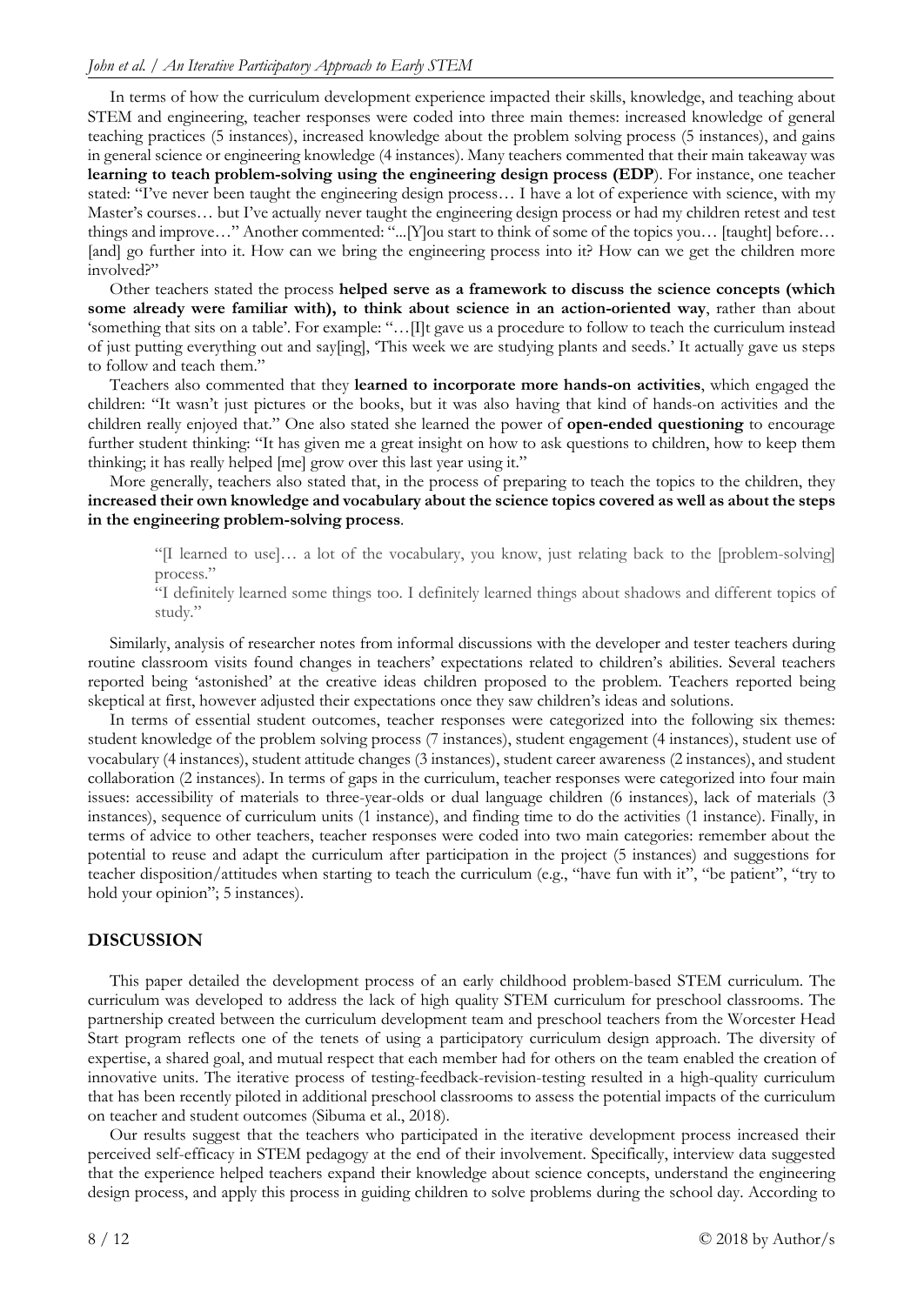In terms of how the curriculum development experience impacted their skills, knowledge, and teaching about STEM and engineering, teacher responses were coded into three main themes: increased knowledge of general teaching practices (5 instances), increased knowledge about the problem solving process (5 instances), and gains in general science or engineering knowledge (4 instances). Many teachers commented that their main takeaway was **learning to teach problem-solving using the engineering design process (EDP**). For instance, one teacher stated: "I've never been taught the engineering design process… I have a lot of experience with science, with my Master's courses… but I've actually never taught the engineering design process or had my children retest and test things and improve…" Another commented: "...[Y]ou start to think of some of the topics you… [taught] before… [and] go further into it. How can we bring the engineering process into it? How can we get the children more involved?"

Other teachers stated the process **helped serve as a framework to discuss the science concepts (which some already were familiar with), to think about science in an action-oriented way**, rather than about 'something that sits on a table'. For example: "…[I]t gave us a procedure to follow to teach the curriculum instead of just putting everything out and say[ing], 'This week we are studying plants and seeds.' It actually gave us steps to follow and teach them."

Teachers also commented that they **learned to incorporate more hands-on activities**, which engaged the children: "It wasn't just pictures or the books, but it was also having that kind of hands-on activities and the children really enjoyed that." One also stated she learned the power of **open-ended questioning** to encourage further student thinking: "It has given me a great insight on how to ask questions to children, how to keep them thinking; it has really helped [me] grow over this last year using it."

More generally, teachers also stated that, in the process of preparing to teach the topics to the children, they **increased their own knowledge and vocabulary about the science topics covered as well as about the steps in the engineering problem-solving process**.

"[I learned to use]… a lot of the vocabulary, you know, just relating back to the [problem-solving] process."

"I definitely learned some things too. I definitely learned things about shadows and different topics of study."

Similarly, analysis of researcher notes from informal discussions with the developer and tester teachers during routine classroom visits found changes in teachers' expectations related to children's abilities. Several teachers reported being 'astonished' at the creative ideas children proposed to the problem. Teachers reported being skeptical at first, however adjusted their expectations once they saw children's ideas and solutions.

In terms of essential student outcomes, teacher responses were categorized into the following six themes: student knowledge of the problem solving process (7 instances), student engagement (4 instances), student use of vocabulary (4 instances), student attitude changes (3 instances), student career awareness (2 instances), and student collaboration (2 instances). In terms of gaps in the curriculum, teacher responses were categorized into four main issues: accessibility of materials to three-year-olds or dual language children (6 instances), lack of materials (3 instances), sequence of curriculum units (1 instance), and finding time to do the activities (1 instance). Finally, in terms of advice to other teachers, teacher responses were coded into two main categories: remember about the potential to reuse and adapt the curriculum after participation in the project (5 instances) and suggestions for teacher disposition/attitudes when starting to teach the curriculum (e.g., "have fun with it", "be patient", "try to hold your opinion"; 5 instances).

# **DISCUSSION**

This paper detailed the development process of an early childhood problem-based STEM curriculum. The curriculum was developed to address the lack of high quality STEM curriculum for preschool classrooms. The partnership created between the curriculum development team and preschool teachers from the Worcester Head Start program reflects one of the tenets of using a participatory curriculum design approach. The diversity of expertise, a shared goal, and mutual respect that each member had for others on the team enabled the creation of innovative units. The iterative process of testing-feedback-revision-testing resulted in a high-quality curriculum that has been recently piloted in additional preschool classrooms to assess the potential impacts of the curriculum on teacher and student outcomes (Sibuma et al., 2018).

Our results suggest that the teachers who participated in the iterative development process increased their perceived self-efficacy in STEM pedagogy at the end of their involvement. Specifically, interview data suggested that the experience helped teachers expand their knowledge about science concepts, understand the engineering design process, and apply this process in guiding children to solve problems during the school day. According to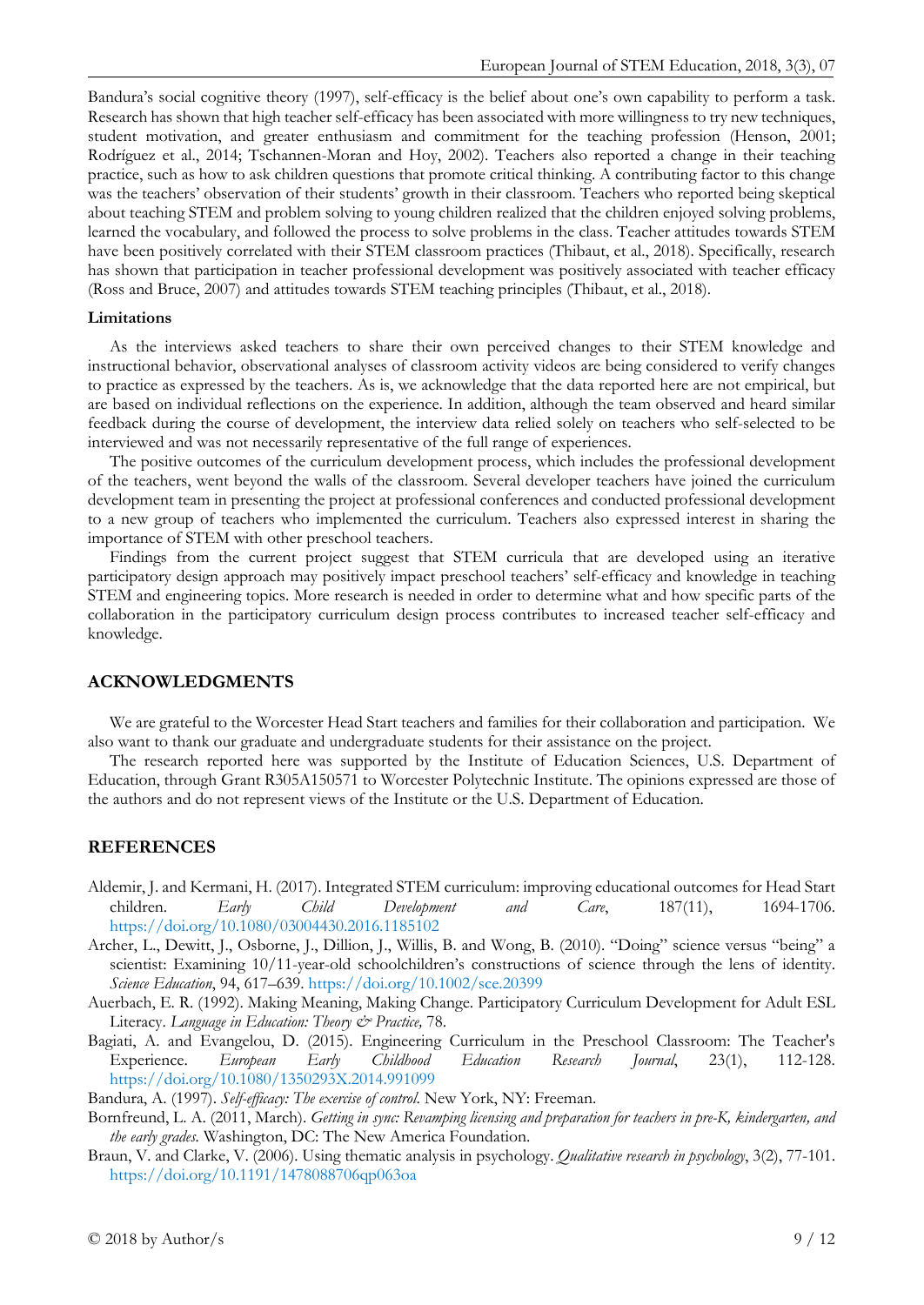Bandura's social cognitive theory (1997), self-efficacy is the belief about one's own capability to perform a task. Research has shown that high teacher self-efficacy has been associated with more willingness to try new techniques, student motivation, and greater enthusiasm and commitment for the teaching profession (Henson, 2001; Rodríguez et al., 2014; Tschannen-Moran and Hoy, 2002). Teachers also reported a change in their teaching practice, such as how to ask children questions that promote critical thinking. A contributing factor to this change was the teachers' observation of their students' growth in their classroom. Teachers who reported being skeptical about teaching STEM and problem solving to young children realized that the children enjoyed solving problems, learned the vocabulary, and followed the process to solve problems in the class. Teacher attitudes towards STEM have been positively correlated with their STEM classroom practices (Thibaut, et al., 2018). Specifically, research has shown that participation in teacher professional development was positively associated with teacher efficacy (Ross and Bruce, 2007) and attitudes towards STEM teaching principles (Thibaut, et al., 2018).

#### **Limitations**

As the interviews asked teachers to share their own perceived changes to their STEM knowledge and instructional behavior, observational analyses of classroom activity videos are being considered to verify changes to practice as expressed by the teachers. As is, we acknowledge that the data reported here are not empirical, but are based on individual reflections on the experience. In addition, although the team observed and heard similar feedback during the course of development, the interview data relied solely on teachers who self-selected to be interviewed and was not necessarily representative of the full range of experiences.

The positive outcomes of the curriculum development process, which includes the professional development of the teachers, went beyond the walls of the classroom. Several developer teachers have joined the curriculum development team in presenting the project at professional conferences and conducted professional development to a new group of teachers who implemented the curriculum. Teachers also expressed interest in sharing the importance of STEM with other preschool teachers.

Findings from the current project suggest that STEM curricula that are developed using an iterative participatory design approach may positively impact preschool teachers' self-efficacy and knowledge in teaching STEM and engineering topics. More research is needed in order to determine what and how specific parts of the collaboration in the participatory curriculum design process contributes to increased teacher self-efficacy and knowledge.

#### **ACKNOWLEDGMENTS**

We are grateful to the Worcester Head Start teachers and families for their collaboration and participation. We also want to thank our graduate and undergraduate students for their assistance on the project.

The research reported here was supported by the Institute of Education Sciences, U.S. Department of Education, through Grant R305A150571 to Worcester Polytechnic Institute. The opinions expressed are those of the authors and do not represent views of the Institute or the U.S. Department of Education.

#### **REFERENCES**

- Aldemir, J. and Kermani, H. (2017). Integrated STEM curriculum: improving educational outcomes for Head Start children. *Early Child Development and Care*, 187(11), 1694-1706. <https://doi.org/10.1080/03004430.2016.1185102>
- Archer, L., Dewitt, J., Osborne, J., Dillion, J., Willis, B. and Wong, B. (2010). "Doing" science versus "being" a scientist: Examining 10/11-year-old schoolchildren's constructions of science through the lens of identity. *Science Education*, 94, 617–639.<https://doi.org/10.1002/sce.20399>
- Auerbach, E. R. (1992). Making Meaning, Making Change. Participatory Curriculum Development for Adult ESL Literacy. *Language in Education: Theory & Practice,* 78.
- Bagiati, A. and Evangelou, D. (2015). Engineering Curriculum in the Preschool Classroom: The Teacher's Experience. *European Early Childhood Education Research Journal*, 23(1), 112-128. <https://doi.org/10.1080/1350293X.2014.991099>

Bandura, A. (1997). *Self-efficacy: The exercise of control*. New York, NY: Freeman.

- Bornfreund, L. A. (2011, March). *Getting in sync: Revamping licensing and preparation for teachers in pre-K, kindergarten, and the early grades.* Washington, DC: The New America Foundation.
- Braun, V. and Clarke, V. (2006). Using thematic analysis in psychology. *Qualitative research in psychology*, 3(2), 77-101. <https://doi.org/10.1191/1478088706qp063oa>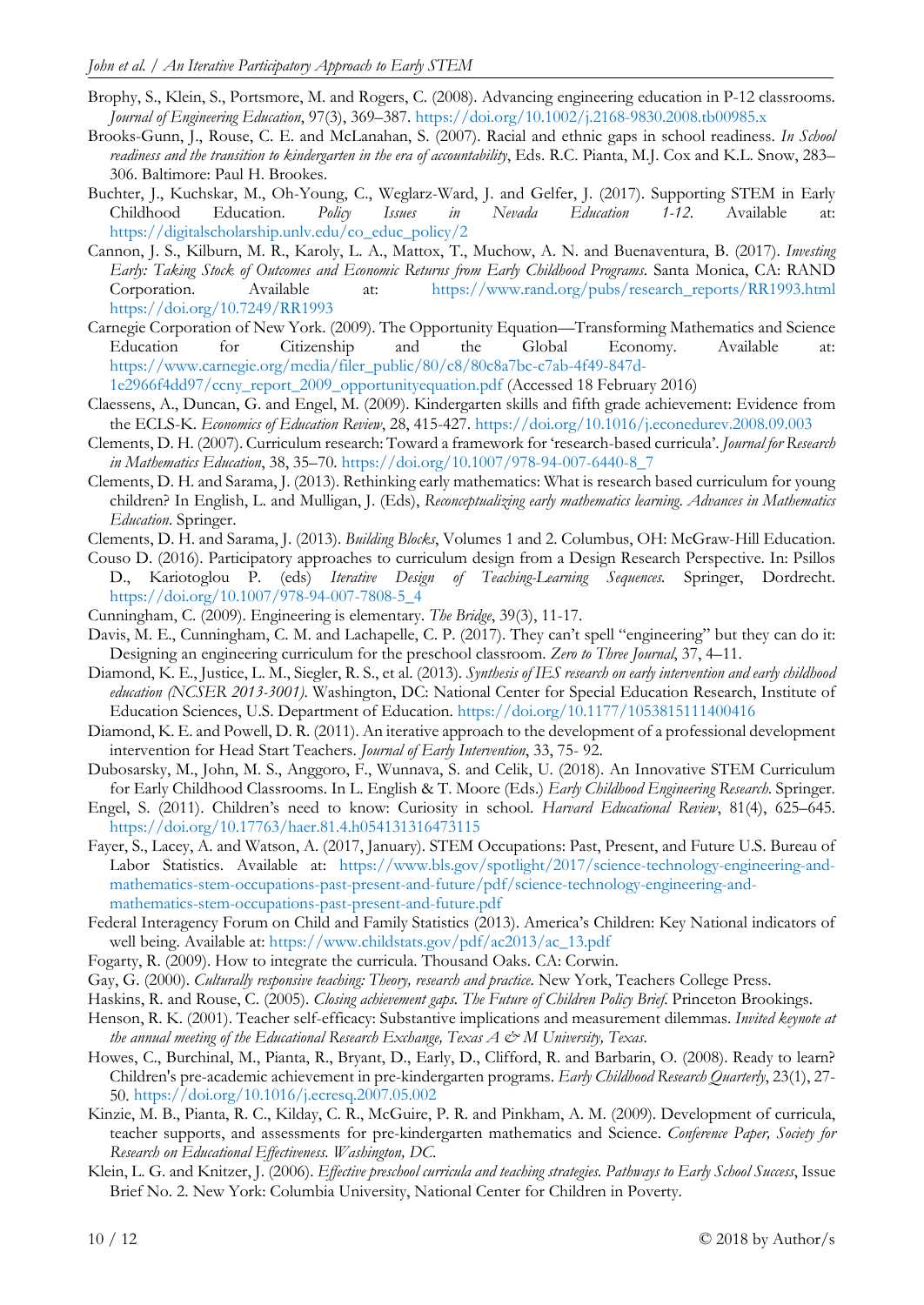- Brophy, S., Klein, S., Portsmore, M. and Rogers, C. (2008). Advancing engineering education in P-12 classrooms. *Journal of Engineering Education*, 97(3), 369–387. <https://doi.org/10.1002/j.2168-9830.2008.tb00985.x>
- Brooks-Gunn, J., Rouse, C. E. and McLanahan, S. (2007). Racial and ethnic gaps in school readiness. *In School readiness and the transition to kindergarten in the era of accountability*, Eds. R.C. Pianta, M.J. Cox and K.L. Snow, 283– 306. Baltimore: Paul H. Brookes.
- Buchter, J., Kuchskar, M., Oh-Young, C., Weglarz-Ward, J. and Gelfer, J. (2017). Supporting STEM in Early Childhood Education. *Policy Issues in Nevada Education 1-12*. Available at: [https://digitalscholarship.unlv.edu/co\\_educ\\_policy/2](https://digitalscholarship.unlv.edu/co_educ_policy/2)
- Cannon, J. S., Kilburn, M. R., Karoly, L. A., Mattox, T., Muchow, A. N. and Buenaventura, B. (2017). *Investing Early: Taking Stock of Outcomes and Economic Returns from Early Childhood Programs*. Santa Monica, CA: RAND Corporation. Available at: [https://www.rand.org/pubs/research\\_reports/RR1993.html](https://www.rand.org/pubs/research_reports/RR1993.html) <https://doi.org/10.7249/RR1993>
- Carnegie Corporation of New York. (2009). The Opportunity Equation—Transforming Mathematics and Science Education for Citizenship and the Global Economy. Available at: [https://www.carnegie.org/media/filer\\_public/80/c8/80c8a7bc-c7ab-4f49-847d-](https://www.carnegie.org/media/filer_public/80/c8/80c8a7bc-c7ab-4f49-847d-%201e2966f4dd97/ccny_report_2009_opportunityequation.pdf)

[1e2966f4dd97/ccny\\_report\\_2009\\_opportunityequation.pdf](https://www.carnegie.org/media/filer_public/80/c8/80c8a7bc-c7ab-4f49-847d-%201e2966f4dd97/ccny_report_2009_opportunityequation.pdf) (Accessed 18 February 2016)

- Claessens, A., Duncan, G. and Engel, M. (2009). Kindergarten skills and fifth grade achievement: Evidence from the ECLS-K. *Economics of Education Review*, 28, 415-427. <https://doi.org/10.1016/j.econedurev.2008.09.003>
- Clements, D. H. (2007). Curriculum research: Toward a framework for 'research-based curricula'. *Journal for Research in Mathematics Education*, 38, 35–70. [https://doi.org/10.1007/978-94-007-6440-8\\_7](https://doi.org/10.1007/978-94-007-6440-8_7)
- Clements, D. H. and Sarama, J. (2013). Rethinking early mathematics: What is research based curriculum for young children? In English, L. and Mulligan, J. (Eds), *Reconceptualizing early mathematics learning*. *Advances in Mathematics Education*. Springer.
- Clements, D. H. and Sarama, J. (2013). *Building Blocks*, Volumes 1 and 2. Columbus, OH: McGraw-Hill Education.
- Couso D. (2016). Participatory approaches to curriculum design from a Design Research Perspective. In: Psillos D., Kariotoglou P. (eds) *Iterative Design of Teaching-Learning Sequences.* Springer, Dordrecht. [https://doi.org/10.1007/978-94-007-7808-5\\_4](https://doi.org/10.1007/978-94-007-7808-5_4)
- Cunningham, C. (2009). Engineering is elementary. *The Bridge*, 39(3), 11-17.
- Davis, M. E., Cunningham, C. M. and Lachapelle, C. P. (2017). They can't spell "engineering" but they can do it: Designing an engineering curriculum for the preschool classroom. *Zero to Three Journal*, 37, 4–11.
- Diamond, K. E., Justice, L. M., Siegler, R. S., et al. (2013). *Synthesis of IES research on early intervention and early childhood education (NCSER 2013-3001)*. Washington, DC: National Center for Special Education Research, Institute of Education Sciences, U.S. Department of Education. <https://doi.org/10.1177/1053815111400416>
- Diamond, K. E. and Powell, D. R. (2011). An iterative approach to the development of a professional development intervention for Head Start Teachers. *Journal of Early Intervention*, 33, 75- 92.
- Dubosarsky, M., John, M. S., Anggoro, F., Wunnava, S. and Celik, U. (2018). An Innovative STEM Curriculum for Early Childhood Classrooms. In L. English & T. Moore (Eds.) *Early Childhood Engineering Research*. Springer.
- Engel, S. (2011). Children's need to know: Curiosity in school. *Harvard Educational Review*, 81(4), 625–645. <https://doi.org/10.17763/haer.81.4.h054131316473115>
- Fayer, S., Lacey, A. and Watson, A. (2017, January). STEM Occupations: Past, Present, and Future U.S. Bureau of Labor Statistics. Available at: [https://www.bls.gov/spotlight/2017/science-technology-engineering-and](https://www.bls.gov/spotlight/2017/science-technology-engineering-and-mathematics-stem-occupations-past-present-and-future/pdf/science-technology-engineering-and-mathematics-stem-occupations-past-present-and-future.pdf)[mathematics-stem-occupations-past-present-and-future/pdf/science-technology-engineering-and](https://www.bls.gov/spotlight/2017/science-technology-engineering-and-mathematics-stem-occupations-past-present-and-future/pdf/science-technology-engineering-and-mathematics-stem-occupations-past-present-and-future.pdf)[mathematics-stem-occupations-past-present-and-future.pdf](https://www.bls.gov/spotlight/2017/science-technology-engineering-and-mathematics-stem-occupations-past-present-and-future/pdf/science-technology-engineering-and-mathematics-stem-occupations-past-present-and-future.pdf)
- Federal Interagency Forum on Child and Family Statistics (2013). America's Children: Key National indicators of well being. Available at: [https://www.childstats.gov/pdf/ac2013/ac\\_13.pdf](https://www.childstats.gov/pdf/ac2013/ac_13.pdf)
- Fogarty, R. (2009). How to integrate the curricula. Thousand Oaks. CA: Corwin.
- Gay, G. (2000). *Culturally responsive teaching: Theory, research and practice*. New York, Teachers College Press.
- Haskins, R. and Rouse, C. (2005). *Closing achievement gaps. The Future of Children Policy Brief*. Princeton Brookings.
- Henson, R. K. (2001). Teacher self-efficacy: Substantive implications and measurement dilemmas. *Invited keynote at the annual meeting of the Educational Research Exchange, Texas A & M University, Texas*.
- Howes, C., Burchinal, M., Pianta, R., Bryant, D., Early, D., Clifford, R. and Barbarin, O. (2008). Ready to learn? Children's pre-academic achievement in pre-kindergarten programs. *Early Childhood Research Quarterly*, 23(1), 27- 50. <https://doi.org/10.1016/j.ecresq.2007.05.002>
- Kinzie, M. B., Pianta, R. C., Kilday, C. R., McGuire, P. R. and Pinkham, A. M. (2009). Development of curricula, teacher supports, and assessments for pre-kindergarten mathematics and Science. *Conference Paper, Society for Research on Educational Effectiveness. Washington, DC*.
- Klein, L. G. and Knitzer, J. (2006). *Effective preschool curricula and teaching strategies. Pathways to Early School Success*, Issue Brief No. 2. New York: Columbia University, National Center for Children in Poverty.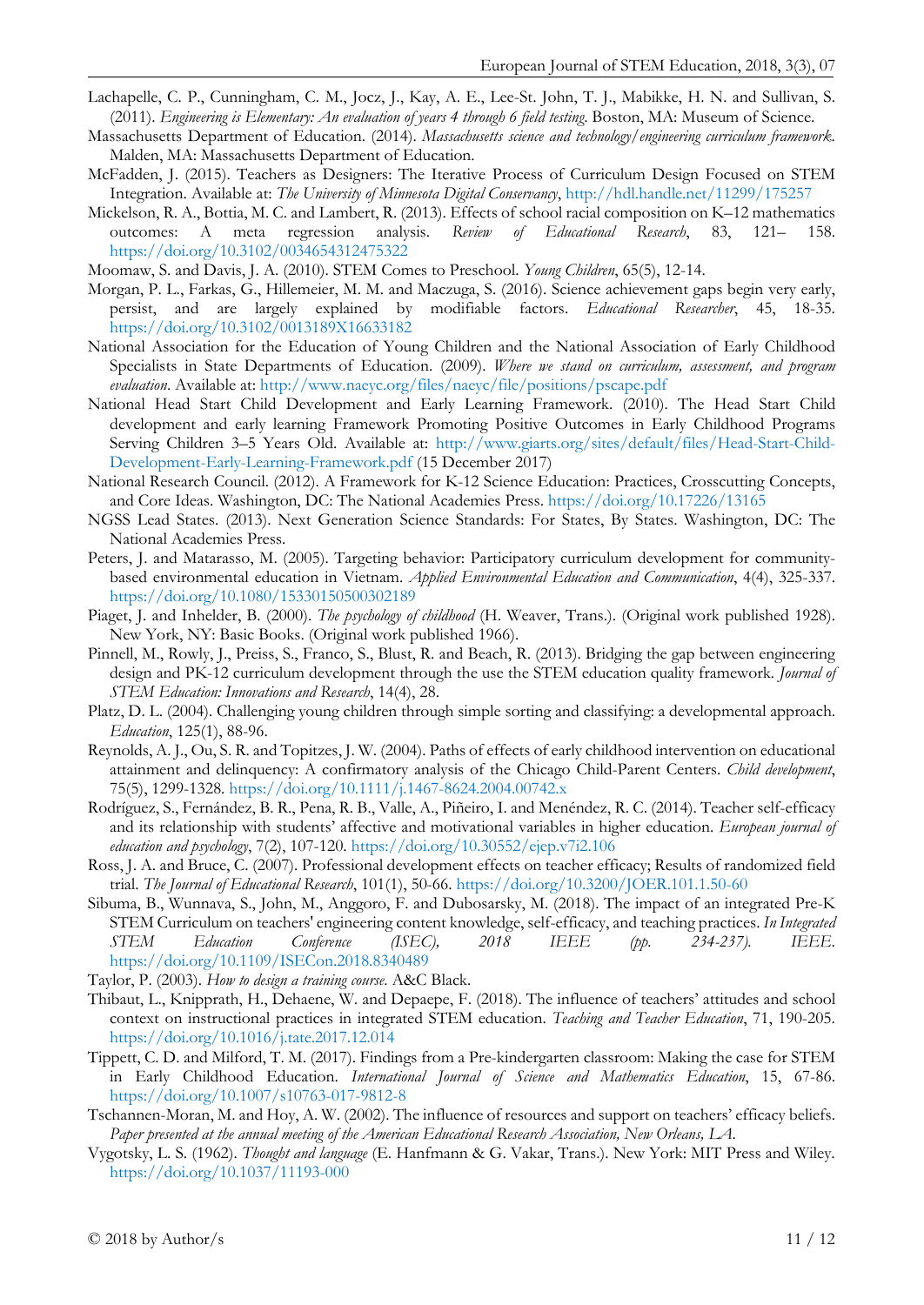- Lachapelle, C. P., Cunningham, C. M., Jocz, J., Kay, A. E., Lee-St. John, T. J., Mabikke, H. N. and Sullivan, S. (2011). *Engineering is Elementary: An evaluation of years 4 through 6 field testing*. Boston, MA: Museum of Science.
- Massachusetts Department of Education. (2014). *Massachusetts science and technology/engineering curriculum framework*. Malden, MA: Massachusetts Department of Education.
- McFadden, J. (2015). Teachers as Designers: The Iterative Process of Curriculum Design Focused on STEM Integration. Available at: *The University of Minnesota Digital Conservancy*,<http://hdl.handle.net/11299/175257>
- Mickelson, R. A., Bottia, M. C. and Lambert, R. (2013). Effects of school racial composition on K–12 mathematics outcomes: A meta regression analysis. *Review of Educational Research*, 83, 121– 158. <https://doi.org/10.3102/0034654312475322>
- Moomaw, S. and Davis, J. A. (2010). STEM Comes to Preschool. *Young Children*, 65(5), 12-14.
- Morgan, P. L., Farkas, G., Hillemeier, M. M. and Maczuga, S. (2016). Science achievement gaps begin very early, persist, and are largely explained by modifiable factors. *Educational Researcher*, 45, 18-35. <https://doi.org/10.3102/0013189X16633182>
- National Association for the Education of Young Children and the National Association of Early Childhood Specialists in State Departments of Education. (2009). *Where we stand on curriculum, assessment, and program evaluation*. Available at:<http://www.naeyc.org/files/naeyc/file/positions/pscape.pdf>
- National Head Start Child Development and Early Learning Framework. (2010). The Head Start Child development and early learning Framework Promoting Positive Outcomes in Early Childhood Programs Serving Children 3–5 Years Old. Available at: [http://www.giarts.org/sites/default/files/Head-Start-Child-](http://www.giarts.org/sites/default/files/Head-Start-Child-Development-Early-Learning-Framework.pdf)[Development-Early-Learning-Framework.pdf](http://www.giarts.org/sites/default/files/Head-Start-Child-Development-Early-Learning-Framework.pdf) (15 December 2017)
- National Research Council. (2012). A Framework for K-12 Science Education: Practices, Crosscutting Concepts, and Core Ideas. Washington, DC: The National Academies Press.<https://doi.org/10.17226/13165>
- NGSS Lead States. (2013). Next Generation Science Standards: For States, By States. Washington, DC: The National Academies Press.
- Peters, J. and Matarasso, M. (2005). Targeting behavior: Participatory curriculum development for communitybased environmental education in Vietnam. *Applied Environmental Education and Communication*, 4(4), 325-337. <https://doi.org/10.1080/15330150500302189>
- Piaget, J. and Inhelder, B. (2000). *The psychology of childhood* (H. Weaver, Trans.). (Original work published 1928). New York, NY: Basic Books. (Original work published 1966).
- Pinnell, M., Rowly, J., Preiss, S., Franco, S., Blust, R. and Beach, R. (2013). Bridging the gap between engineering design and PK-12 curriculum development through the use the STEM education quality framework*. Journal of STEM Education: Innovations and Research*, 14(4), 28.
- Platz, D. L. (2004). Challenging young children through simple sorting and classifying: a developmental approach. *Education*, 125(1), 88-96.
- Reynolds, A. J., Ou, S. R. and Topitzes, J. W. (2004). Paths of effects of early childhood intervention on educational attainment and delinquency: A confirmatory analysis of the Chicago Child-Parent Centers. *Child development*, 75(5), 1299-1328. <https://doi.org/10.1111/j.1467-8624.2004.00742.x>
- Rodríguez, S., Fernández, B. R., Pena, R. B., Valle, A., Piñeiro, I. and Menéndez, R. C. (2014). Teacher self-efficacy and its relationship with students' affective and motivational variables in higher education. *European journal of education and psychology*, 7(2), 107-120. <https://doi.org/10.30552/ejep.v7i2.106>
- Ross, J. A. and Bruce, C. (2007). Professional development effects on teacher efficacy; Results of randomized field trial. *The Journal of Educational Research*, 101(1), 50-66. <https://doi.org/10.3200/JOER.101.1.50-60>
- Sibuma, B., Wunnava, S., John, M., Anggoro, F. and Dubosarsky, M. (2018). The impact of an integrated Pre-K STEM Curriculum on teachers' engineering content knowledge, self-efficacy, and teaching practices. *In Integrated STEM Education Conference (ISEC), 2018 IEEE (pp. 234-237). IEEE*. <https://doi.org/10.1109/ISECon.2018.8340489>
- Taylor, P. (2003). *How to design a training course*. A&C Black.
- Thibaut, L., Knipprath, H., Dehaene, W. and Depaepe, F. (2018). The influence of teachers' attitudes and school context on instructional practices in integrated STEM education. *Teaching and Teacher Education*, 71, 190-205. <https://doi.org/10.1016/j.tate.2017.12.014>
- Tippett, C. D. and Milford, T. M. (2017). Findings from a Pre-kindergarten classroom: Making the case for STEM in Early Childhood Education. *International Journal of Science and Mathematics Education*, 15, 67-86. <https://doi.org/10.1007/s10763-017-9812-8>
- Tschannen-Moran, M. and Hoy, A. W. (2002). The influence of resources and support on teachers' efficacy beliefs. *Paper presented at the annual meeting of the American Educational Research Association, New Orleans, LA*.
- Vygotsky, L. S. (1962). *Thought and language* (E. Hanfmann & G. Vakar, Trans.). New York: MIT Press and Wiley. <https://doi.org/10.1037/11193-000>